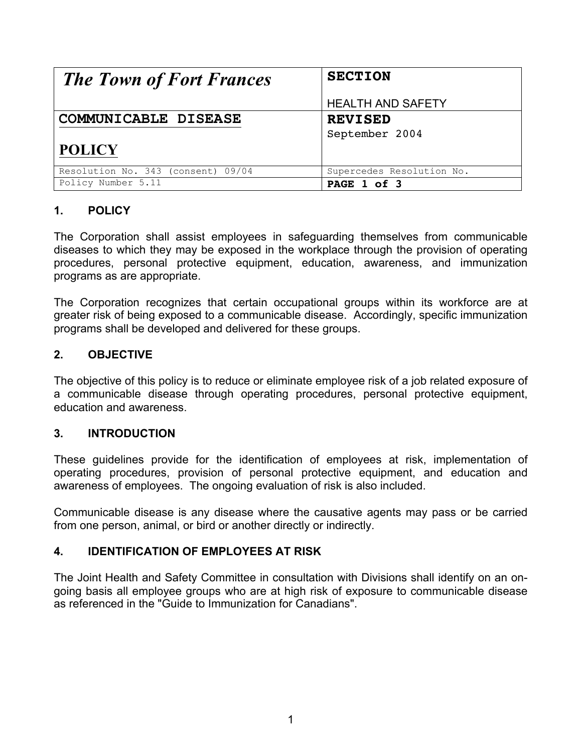| <b>The Town of Fort Frances</b>    | <b>SECTION</b>            |
|------------------------------------|---------------------------|
|                                    | <b>HEALTH AND SAFETY</b>  |
| COMMUNICABLE DISEASE               | <b>REVISED</b>            |
|                                    | September 2004            |
| <b>POLICY</b>                      |                           |
| Resolution No. 343 (consent) 09/04 | Supercedes Resolution No. |
| Policy Number 5.11                 | PAGE 1 of 3               |

## **1. POLICY**

The Corporation shall assist employees in safeguarding themselves from communicable diseases to which they may be exposed in the workplace through the provision of operating procedures, personal protective equipment, education, awareness, and immunization programs as are appropriate.

The Corporation recognizes that certain occupational groups within its workforce are at greater risk of being exposed to a communicable disease. Accordingly, specific immunization programs shall be developed and delivered for these groups.

# **2. OBJECTIVE**

The objective of this policy is to reduce or eliminate employee risk of a job related exposure of a communicable disease through operating procedures, personal protective equipment, education and awareness.

## **3. INTRODUCTION**

These guidelines provide for the identification of employees at risk, implementation of operating procedures, provision of personal protective equipment, and education and awareness of employees. The ongoing evaluation of risk is also included.

Communicable disease is any disease where the causative agents may pass or be carried from one person, animal, or bird or another directly or indirectly.

## **4. IDENTIFICATION OF EMPLOYEES AT RISK**

The Joint Health and Safety Committee in consultation with Divisions shall identify on an ongoing basis all employee groups who are at high risk of exposure to communicable disease as referenced in the "Guide to Immunization for Canadians".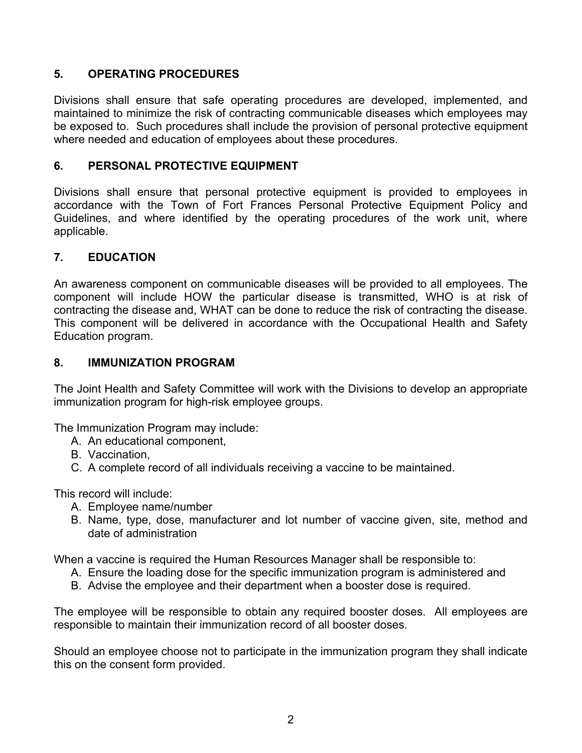# **5. OPERATING PROCEDURES**

Divisions shall ensure that safe operating procedures are developed, implemented, and maintained to minimize the risk of contracting communicable diseases which employees may be exposed to. Such procedures shall include the provision of personal protective equipment where needed and education of employees about these procedures.

### **6. PERSONAL PROTECTIVE EQUIPMENT**

Divisions shall ensure that personal protective equipment is provided to employees in accordance with the Town of Fort Frances Personal Protective Equipment Policy and Guidelines, and where identified by the operating procedures of the work unit, where applicable.

#### **7. EDUCATION**

An awareness component on communicable diseases will be provided to all employees. The component will include HOW the particular disease is transmitted, WHO is at risk of contracting the disease and, WHAT can be done to reduce the risk of contracting the disease. This component will be delivered in accordance with the Occupational Health and Safety Education program.

#### **8. IMMUNIZATION PROGRAM**

The Joint Health and Safety Committee will work with the Divisions to develop an appropriate immunization program for high-risk employee groups.

The Immunization Program may include:

- A. An educational component,
- B. Vaccination,
- C. A complete record of all individuals receiving a vaccine to be maintained.

This record will include:

- A. Employee name/number
- B. Name, type, dose, manufacturer and lot number of vaccine given, site, method and date of administration

When a vaccine is required the Human Resources Manager shall be responsible to:

- A. Ensure the loading dose for the specific immunization program is administered and
- B. Advise the employee and their department when a booster dose is required.

The employee will be responsible to obtain any required booster doses. All employees are responsible to maintain their immunization record of all booster doses.

Should an employee choose not to participate in the immunization program they shall indicate this on the consent form provided.